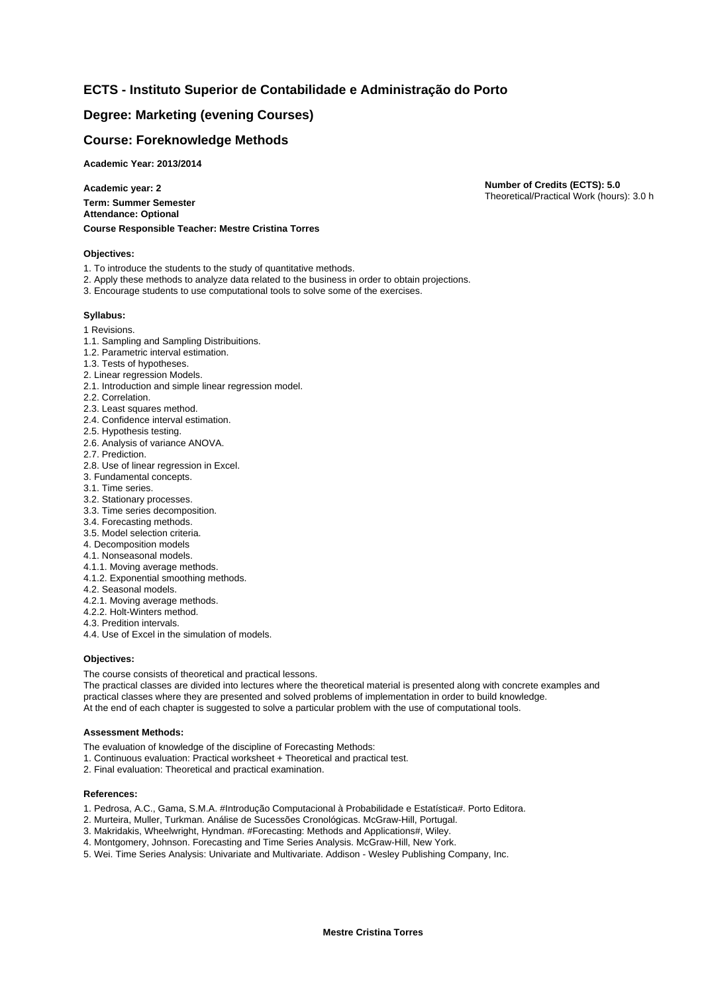# **ECTS - Instituto Superior de Contabilidade e Administração do Porto**

## **Degree: Marketing (evening Courses)**

## **Course: Foreknowledge Methods**

**Academic Year: 2013/2014**

**Academic year: 2 Term: Summer Semester Attendance: Optional Course Responsible Teacher: Mestre Cristina Torres** **Number of Credits (ECTS): 5.0** Theoretical/Practical Work (hours): 3.0 h

#### **Objectives:**

- 1. To introduce the students to the study of quantitative methods.
- 2. Apply these methods to analyze data related to the business in order to obtain projections.
- 3. Encourage students to use computational tools to solve some of the exercises.

### **Syllabus:**

- 1 Revisions.
- 1.1. Sampling and Sampling Distribuitions.
- 1.2. Parametric interval estimation.
- 1.3. Tests of hypotheses.
- 2. Linear regression Models.
- 2.1. Introduction and simple linear regression model.
- 2.2. Correlation.
- 2.3. Least squares method.
- 2.4. Confidence interval estimation.
- 2.5. Hypothesis testing.
- 2.6. Analysis of variance ANOVA.
- 2.7. Prediction.
- 2.8. Use of linear regression in Excel.
- 3. Fundamental concepts.
- 3.1. Time series.
- 3.2. Stationary processes.
- 3.3. Time series decomposition.
- 3.4. Forecasting methods.
- 3.5. Model selection criteria.
- 4. Decomposition models
- 4.1. Nonseasonal models.
- 4.1.1. Moving average methods.
- 4.1.2. Exponential smoothing methods.
- 4.2. Seasonal models.
- 4.2.1. Moving average methods.
- 4.2.2. Holt-Winters method.
- 4.3. Predition intervals.
- 4.4. Use of Excel in the simulation of models.

### **Objectives:**

The course consists of theoretical and practical lessons.

The practical classes are divided into lectures where the theoretical material is presented along with concrete examples and practical classes where they are presented and solved problems of implementation in order to build knowledge. At the end of each chapter is suggested to solve a particular problem with the use of computational tools.

#### **Assessment Methods:**

The evaluation of knowledge of the discipline of Forecasting Methods:

- 1. Continuous evaluation: Practical worksheet + Theoretical and practical test.
- 2. Final evaluation: Theoretical and practical examination.

#### **References:**

- 1. Pedrosa, A.C., Gama, S.M.A. #Introdução Computacional à Probabilidade e Estatística#. Porto Editora.
- 2. Murteira, Muller, Turkman. Análise de Sucessões Cronológicas. McGraw-Hill, Portugal.
- 3. Makridakis, Wheelwright, Hyndman. #Forecasting: Methods and Applications#, Wiley.
- 4. Montgomery, Johnson. Forecasting and Time Series Analysis. McGraw-Hill, New York.
- 5. Wei. Time Series Analysis: Univariate and Multivariate. Addison Wesley Publishing Company, Inc.